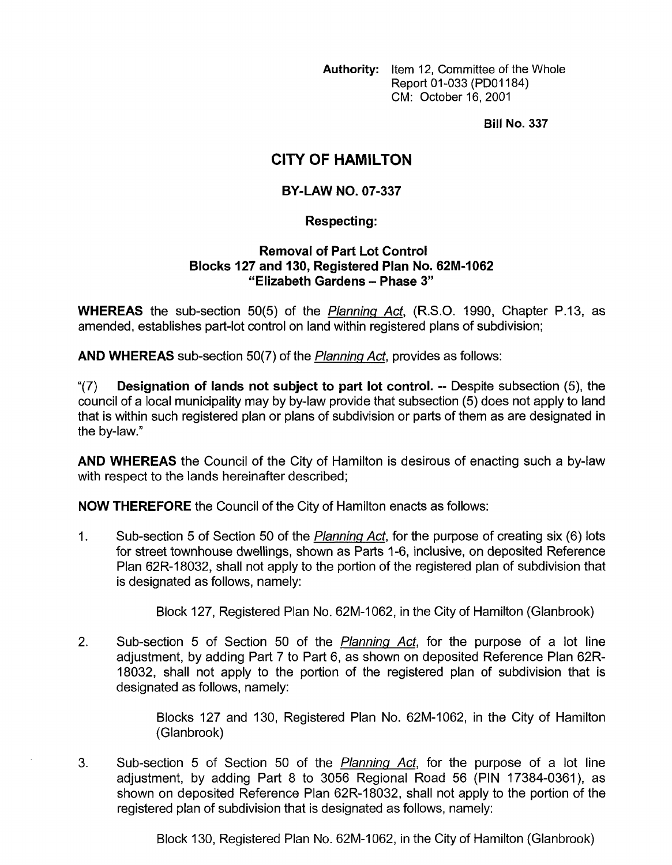**Authority:** Item 12, Committee of the Whole Report 01-033 (PDOI 184) CM: October 16,2001

**Bill No. 337** 

# **CITY OF HAMILTON**

## **BY-LAW NO. 07-337**

### **Respecting** :

#### **Removal of Part Lot Control Blocks 127 and 130, Registered Plan No. 62M-I062 "Elizabeth Gardens** - **Phase 3"**

**WHEREAS** the sub-section 50(5) of the *Planning Act,* (R.S.O. 1990, Chapter P.13, as amended, establishes part-lot control on land within registered plans of subdivision;

**AND WHEREAS** sub-section 50(7) of the *Planning Act,* provides as follows:

**"(7) Designation of lands not subject to part lot control.** -- Despite subsection (5), the council of a local municipality may by by-law provide that subsection (5) does not apply to land that is within such registered plan or plans of subdivision or parts of them as are designated in the by-law."

**AND WHEREAS** the Council of the City of Hamilton is desirous of enacting such a by-law with respect to the lands hereinafter described;

**NOW THEREFORE** the Council of the City of Hamilton enacts as follows:

1. Sub-section 5 of Section 50 of the *Planning Act,* for the purpose of creating six (6) lots for street townhouse dwellings, shown as Parts 1-6, inclusive, on deposited Reference Plan 62R-18032, shall not apply to the portion of the registered plan of subdivision that is designated as follows, namely:

Block 127, Registered Plan No. 62M-1062, in the City of Hamilton (Glanbrook)

2. Sub-section 5 of Section 50 of the *Planning Act,* for the purpose of a lot line adjustment, by adding Part 7 to Part 6, as shown on deposited Reference Plan 62R-18032, shall not apply to the portion of the registered plan of subdivision that is designated as follows, namely:

> Blocks 127 and 130, Registered Plan No. 62M-1062, in the City of Hamilton (Glanbrook)

3. Sub-section 5 of Section 50 of the *Planning Act,* for the purpose of a lot line adjustment, by adding Part 8 to 3056 Regional Road 56 (PIN 17384-0361), as shown on deposited Reference Plan 62R-18032, shall not apply to the portion of the registered plan of subdivision that is designated as follows, namely:

Block 130, Registered Plan No. 62M-1062, in the City of Hamilton (Glanbrook)